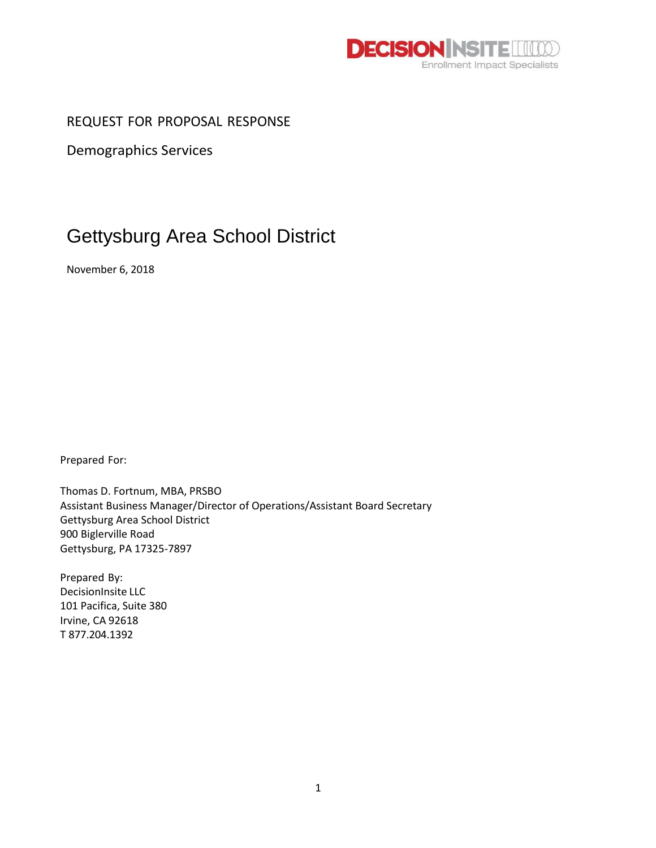

REQUEST FOR PROPOSAL RESPONSE

Demographics Services

# Gettysburg Area School District

November 6, 2018

Prepared For:

Thomas D. Fortnum, MBA, PRSBO Assistant Business Manager/Director of Operations/Assistant Board Secretary Gettysburg Area School District 900 Biglerville Road Gettysburg, PA 17325-7897

Prepared By: DecisionInsite LLC 101 Pacifica, Suite 380 Irvine, CA 92618 T 877.204.1392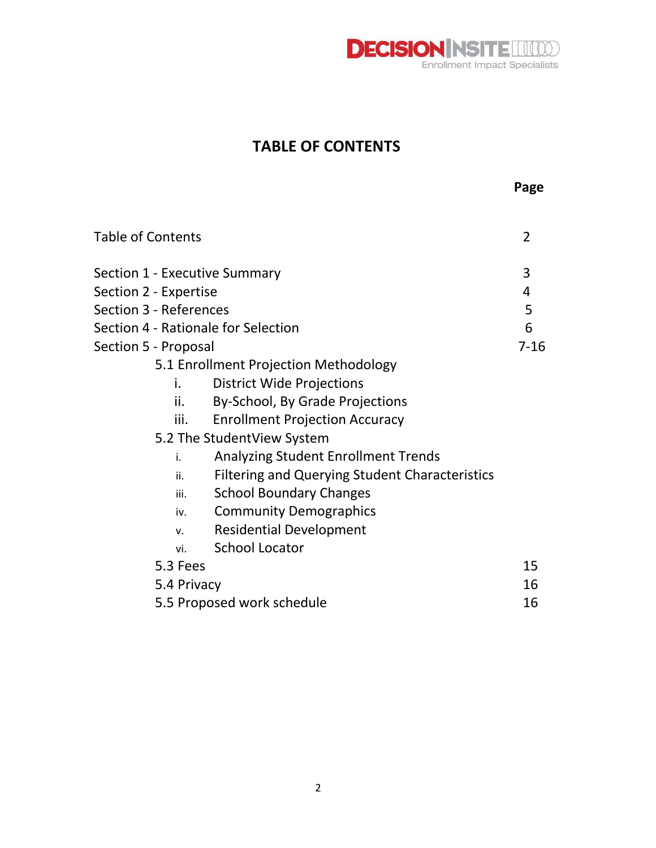

**Page**

## **TABLE OF CONTENTS**

| <b>Table of Contents</b>            |                                                       | $\overline{2}$ |  |  |
|-------------------------------------|-------------------------------------------------------|----------------|--|--|
| Section 1 - Executive Summary       |                                                       | 3              |  |  |
| Section 2 - Expertise               |                                                       |                |  |  |
| Section 3 - References              |                                                       | 5              |  |  |
| Section 4 - Rationale for Selection |                                                       | 6              |  |  |
| Section 5 - Proposal                |                                                       | $7 - 16$       |  |  |
|                                     | 5.1 Enrollment Projection Methodology                 |                |  |  |
| i.                                  | <b>District Wide Projections</b>                      |                |  |  |
| ii.                                 | By-School, By Grade Projections                       |                |  |  |
| iii.                                | <b>Enrollment Projection Accuracy</b>                 |                |  |  |
|                                     | 5.2 The StudentView System                            |                |  |  |
| i.                                  | <b>Analyzing Student Enrollment Trends</b>            |                |  |  |
| ii.                                 | <b>Filtering and Querying Student Characteristics</b> |                |  |  |
| iii.                                | <b>School Boundary Changes</b>                        |                |  |  |
| iv.                                 | <b>Community Demographics</b>                         |                |  |  |
| V <sub>1</sub>                      | <b>Residential Development</b>                        |                |  |  |
| vi.                                 | <b>School Locator</b>                                 |                |  |  |
| 5.3 Fees                            |                                                       | 15             |  |  |
| 5.4 Privacy                         |                                                       | 16             |  |  |
|                                     | 5.5 Proposed work schedule                            | 16             |  |  |
|                                     |                                                       |                |  |  |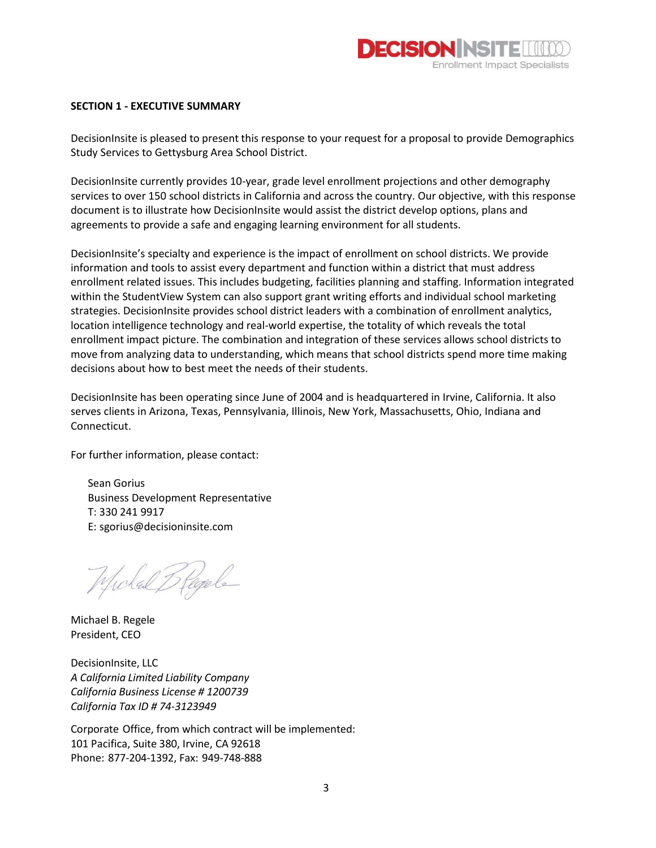

#### **SECTION 1 - EXECUTIVE SUMMARY**

DecisionInsite is pleased to present this response to your request for a proposal to provide Demographics Study Services to Gettysburg Area School District.

DecisionInsite currently provides 10-year, grade level enrollment projections and other demography services to over 150 school districts in California and across the country. Our objective, with this response document is to illustrate how DecisionInsite would assist the district develop options, plans and agreements to provide a safe and engaging learning environment for all students.

DecisionInsite's specialty and experience is the impact of enrollment on school districts. We provide information and tools to assist every department and function within a district that must address enrollment related issues. This includes budgeting, facilities planning and staffing. Information integrated within the StudentView System can also support grant writing efforts and individual school marketing strategies. DecisionInsite provides school district leaders with a combination of enrollment analytics, location intelligence technology and real-world expertise, the totality of which reveals the total enrollment impact picture. The combination and integration of these services allows school districts to move from analyzing data to understanding, which means that school districts spend more time making decisions about how to best meet the needs of their students.

DecisionInsite has been operating since June of 2004 and is headquartered in Irvine, California. It also serves clients in Arizona, Texas, Pennsylvania, Illinois, New York, Massachusetts, Ohio, Indiana and Connecticut.

For further information, please contact:

Sean Gorius Business Development Representative T: 330 241 9917 E: sgorius@decisioninsite.com

Michal Blegele

Michael B. Regele President, CEO

DecisionInsite, LLC *A California Limited Liability Company California Business License # 1200739 California Tax ID # 74-3123949*

Corporate Office, from which contract will be implemented: 101 Pacifica, Suite 380, Irvine, CA 92618 Phone: 877-204-1392, Fax: 949-748-888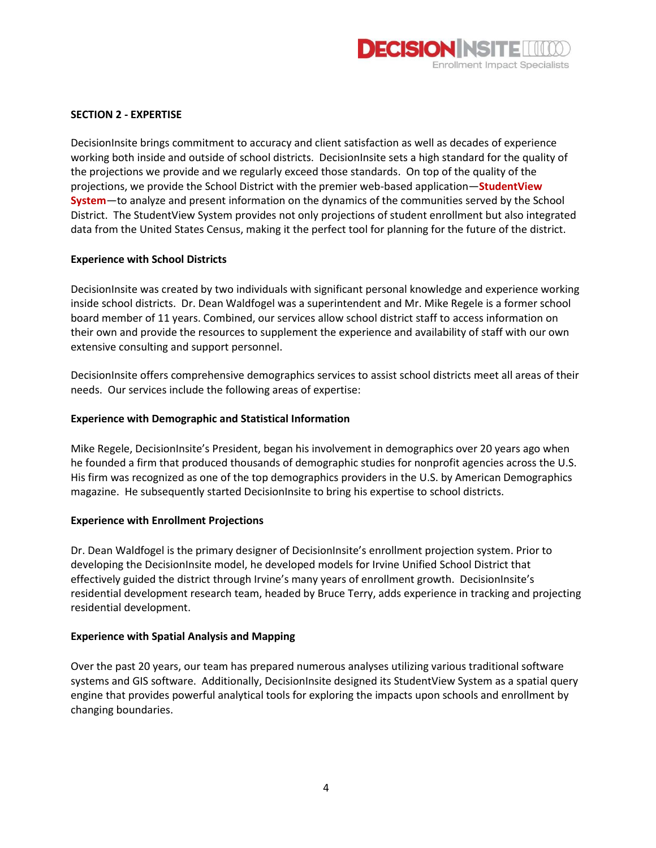

#### **SECTION 2 - EXPERTISE**

DecisionInsite brings commitment to accuracy and client satisfaction as well as decades of experience working both inside and outside of school districts. DecisionInsite sets a high standard for the quality of the projections we provide and we regularly exceed those standards. On top of the quality of the projections, we provide the School District with the premier web-based application—**StudentView System**—to analyze and present information on the dynamics of the communities served by the School District. The StudentView System provides not only projections of student enrollment but also integrated data from the United States Census, making it the perfect tool for planning for the future of the district.

#### **Experience with School Districts**

DecisionInsite was created by two individuals with significant personal knowledge and experience working inside school districts. Dr. Dean Waldfogel was a superintendent and Mr. Mike Regele is a former school board member of 11 years. Combined, our services allow school district staff to access information on their own and provide the resources to supplement the experience and availability of staff with our own extensive consulting and support personnel.

DecisionInsite offers comprehensive demographics services to assist school districts meet all areas of their needs. Our services include the following areas of expertise:

#### **Experience with Demographic and Statistical Information**

Mike Regele, DecisionInsite's President, began his involvement in demographics over 20 years ago when he founded a firm that produced thousands of demographic studies for nonprofit agencies across the U.S. His firm was recognized as one of the top demographics providers in the U.S. by American Demographics magazine. He subsequently started DecisionInsite to bring his expertise to school districts.

#### **Experience with Enrollment Projections**

Dr. Dean Waldfogel is the primary designer of DecisionInsite's enrollment projection system. Prior to developing the DecisionInsite model, he developed models for Irvine Unified School District that effectively guided the district through Irvine's many years of enrollment growth. DecisionInsite's residential development research team, headed by Bruce Terry, adds experience in tracking and projecting residential development.

#### **Experience with Spatial Analysis and Mapping**

Over the past 20 years, our team has prepared numerous analyses utilizing various traditional software systems and GIS software. Additionally, DecisionInsite designed its StudentView System as a spatial query engine that provides powerful analytical tools for exploring the impacts upon schools and enrollment by changing boundaries.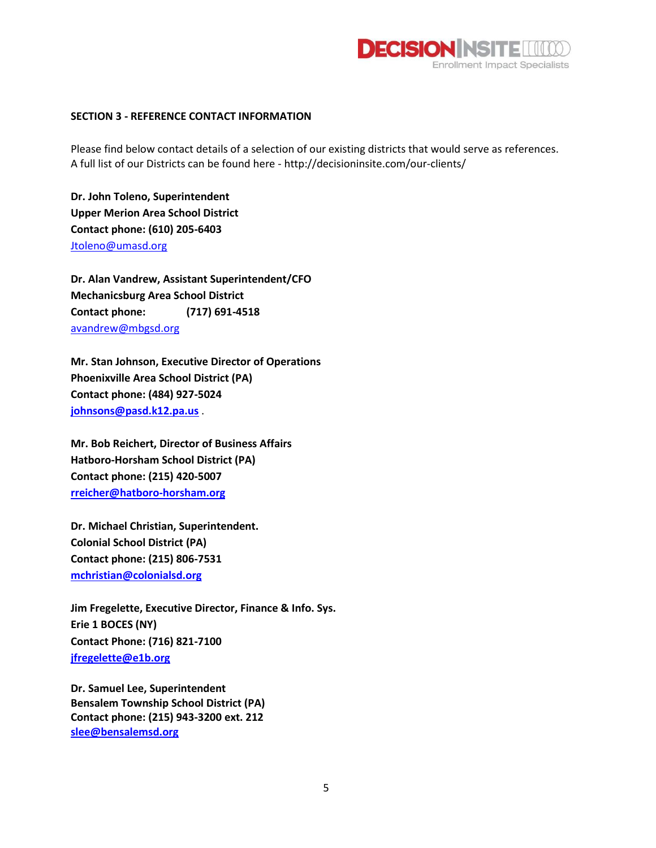

#### **SECTION 3 - REFERENCE CONTACT INFORMATION**

Please find below contact details of a selection of our existing districts that would serve as references. A full list of our Districts can be found here - http://decisioninsite.com/our-clients/

**Dr. John Toleno, Superintendent Upper Merion Area School District Contact phone: (610) 205-6403** [Jtoleno@umasd.org](mailto:Jtoleno@umasd.org)

**Dr. Alan Vandrew, Assistant Superintendent/CFO Mechanicsburg Area School District Contact phone: (717) 691-4518** [avandrew@mbgsd.org](mailto:avandrew@mbgsd.org)

**Mr. Stan Johnson, Executive Director of Operations Phoenixville Area School District (PA) Contact phone: (484) 927-5024 [johnsons@pasd.k12.pa.us](mailto:johnsons@pasd.k12.pa.us)** .

**Mr. Bob Reichert, Director of Business Affairs Hatboro-Horsham School District (PA) Contact phone: (215) 420-5007 [rreicher@hatboro-horsham.org](mailto:rreicher@hatboro-horsham.org)**

**Dr. Michael Christian, Superintendent. Colonial School District (PA) Contact phone: (215) 806-7531 [mchristian@colonialsd.org](mailto:mchristian@colonialsd.org)** 

**Jim Fregelette, Executive Director, Finance & Info. Sys. Erie 1 BOCES (NY) Contact Phone: (716) 821-7100 [jfregelette@e1b.org](mailto:jfregelette@e1b.org)**

**Dr. Samuel Lee, Superintendent Bensalem Township School District (PA) Contact phone: (215) 943-3200 ext. 212 [slee@bensalemsd.org](mailto:slee@bensalemsd.org)**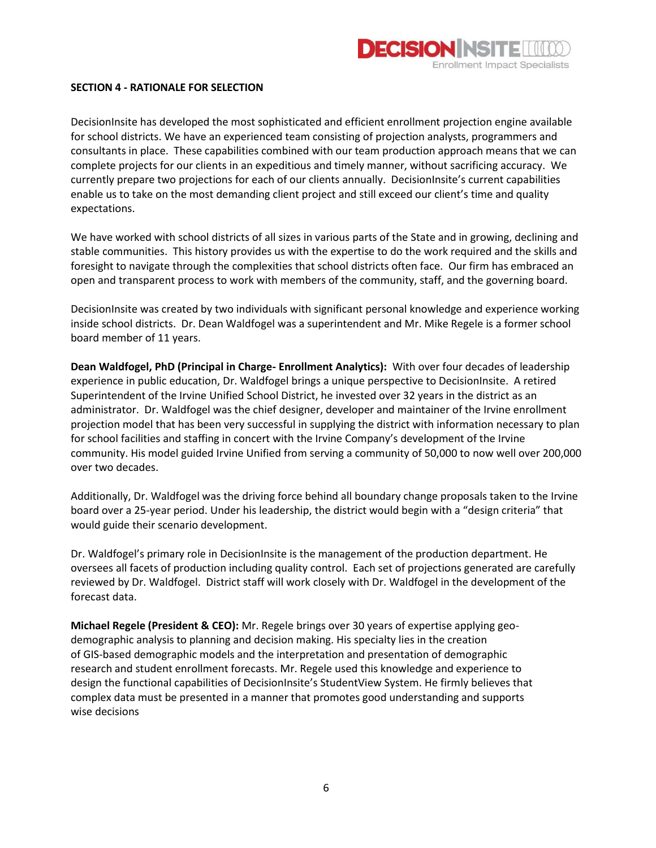

#### **SECTION 4 - RATIONALE FOR SELECTION**

DecisionInsite has developed the most sophisticated and efficient enrollment projection engine available for school districts. We have an experienced team consisting of projection analysts, programmers and consultants in place. These capabilities combined with our team production approach means that we can complete projects for our clients in an expeditious and timely manner, without sacrificing accuracy. We currently prepare two projections for each of our clients annually. DecisionInsite's current capabilities enable us to take on the most demanding client project and still exceed our client's time and quality expectations.

We have worked with school districts of all sizes in various parts of the State and in growing, declining and stable communities. This history provides us with the expertise to do the work required and the skills and foresight to navigate through the complexities that school districts often face. Our firm has embraced an open and transparent process to work with members of the community, staff, and the governing board.

DecisionInsite was created by two individuals with significant personal knowledge and experience working inside school districts. Dr. Dean Waldfogel was a superintendent and Mr. Mike Regele is a former school board member of 11 years.

**Dean Waldfogel, PhD (Principal in Charge- Enrollment Analytics):** With over four decades of leadership experience in public education, Dr. Waldfogel brings a unique perspective to DecisionInsite. A retired Superintendent of the Irvine Unified School District, he invested over 32 years in the district as an administrator. Dr. Waldfogel was the chief designer, developer and maintainer of the Irvine enrollment projection model that has been very successful in supplying the district with information necessary to plan for school facilities and staffing in concert with the Irvine Company's development of the Irvine community. His model guided Irvine Unified from serving a community of 50,000 to now well over 200,000 over two decades.

Additionally, Dr. Waldfogel was the driving force behind all boundary change proposals taken to the Irvine board over a 25-year period. Under his leadership, the district would begin with a "design criteria" that would guide their scenario development.

Dr. Waldfogel's primary role in DecisionInsite is the management of the production department. He oversees all facets of production including quality control. Each set of projections generated are carefully reviewed by Dr. Waldfogel. District staff will work closely with Dr. Waldfogel in the development of the forecast data.

**Michael Regele (President & CEO):** Mr. Regele brings over 30 years of expertise applying geodemographic analysis to planning and decision making. His specialty lies in the creation of GIS-based demographic models and the interpretation and presentation of demographic research and student enrollment forecasts. Mr. Regele used this knowledge and experience to design the functional capabilities of DecisionInsite's StudentView System. He firmly believes that complex data must be presented in a manner that promotes good understanding and supports wise decisions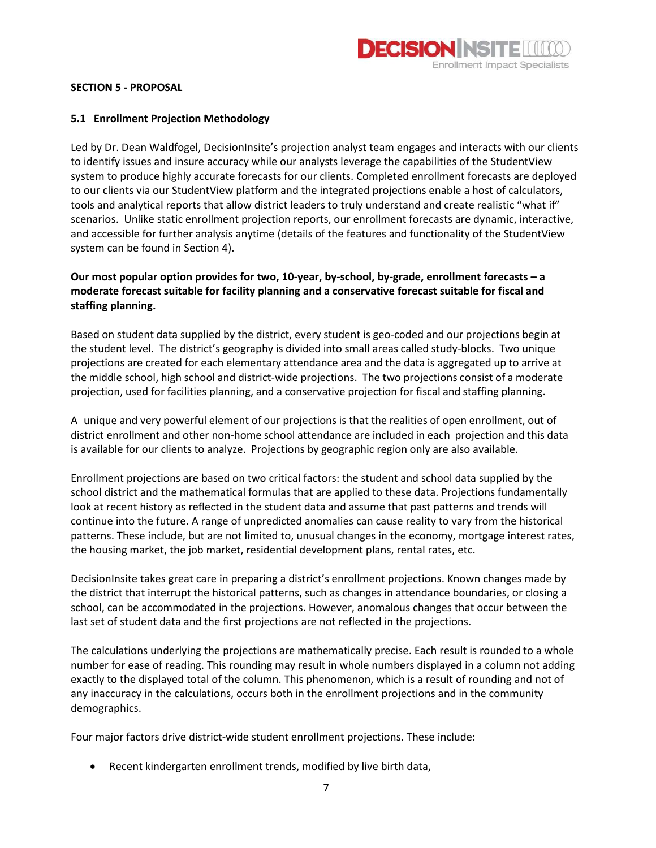

#### **SECTION 5 - PROPOSAL**

#### **5.1 Enrollment Projection Methodology**

Led by Dr. Dean Waldfogel, DecisionInsite's projection analyst team engages and interacts with our clients to identify issues and insure accuracy while our analysts leverage the capabilities of the StudentView system to produce highly accurate forecasts for our clients. Completed enrollment forecasts are deployed to our clients via our StudentView platform and the integrated projections enable a host of calculators, tools and analytical reports that allow district leaders to truly understand and create realistic "what if" scenarios. Unlike static enrollment projection reports, our enrollment forecasts are dynamic, interactive, and accessible for further analysis anytime (details of the features and functionality of the StudentView system can be found in Section 4).

### **Our most popular option provides for two, 10-year, by-school, by-grade, enrollment forecasts – a moderate forecast suitable for facility planning and a conservative forecast suitable for fiscal and staffing planning.**

Based on student data supplied by the district, every student is geo-coded and our projections begin at the student level. The district's geography is divided into small areas called study-blocks. Two unique projections are created for each elementary attendance area and the data is aggregated up to arrive at the middle school, high school and district-wide projections. The two projections consist of a moderate projection, used for facilities planning, and a conservative projection for fiscal and staffing planning.

A unique and very powerful element of our projections is that the realities of open enrollment, out of district enrollment and other non-home school attendance are included in each projection and this data is available for our clients to analyze. Projections by geographic region only are also available.

Enrollment projections are based on two critical factors: the student and school data supplied by the school district and the mathematical formulas that are applied to these data. Projections fundamentally look at recent history as reflected in the student data and assume that past patterns and trends will continue into the future. A range of unpredicted anomalies can cause reality to vary from the historical patterns. These include, but are not limited to, unusual changes in the economy, mortgage interest rates, the housing market, the job market, residential development plans, rental rates, etc.

DecisionInsite takes great care in preparing a district's enrollment projections. Known changes made by the district that interrupt the historical patterns, such as changes in attendance boundaries, or closing a school, can be accommodated in the projections. However, anomalous changes that occur between the last set of student data and the first projections are not reflected in the projections.

The calculations underlying the projections are mathematically precise. Each result is rounded to a whole number for ease of reading. This rounding may result in whole numbers displayed in a column not adding exactly to the displayed total of the column. This phenomenon, which is a result of rounding and not of any inaccuracy in the calculations, occurs both in the enrollment projections and in the community demographics.

Four major factors drive district-wide student enrollment projections. These include:

• Recent kindergarten enrollment trends, modified by live birth data,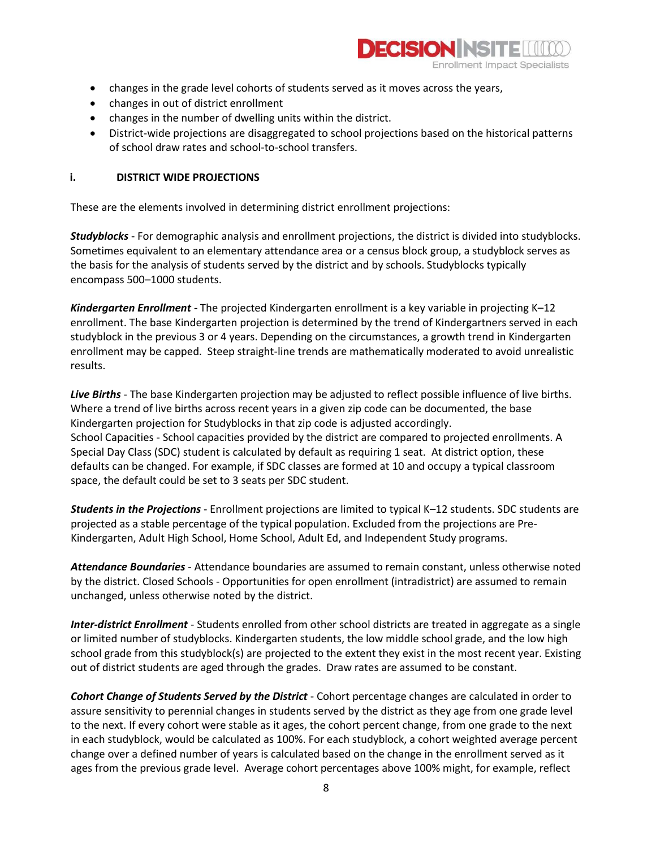

- changes in the grade level cohorts of students served as it moves across the years,
- changes in out of district enrollment
- changes in the number of dwelling units within the district.
- District-wide projections are disaggregated to school projections based on the historical patterns of school draw rates and school‐to‐school transfers.

#### **i. DISTRICT WIDE PROJECTIONS**

These are the elements involved in determining district enrollment projections:

*Studyblocks* - For demographic analysis and enrollment projections, the district is divided into studyblocks. Sometimes equivalent to an elementary attendance area or a census block group, a studyblock serves as the basis for the analysis of students served by the district and by schools. Studyblocks typically encompass 500–1000 students.

*Kindergarten Enrollment -* The projected Kindergarten enrollment is a key variable in projecting K–12 enrollment. The base Kindergarten projection is determined by the trend of Kindergartners served in each studyblock in the previous 3 or 4 years. Depending on the circumstances, a growth trend in Kindergarten enrollment may be capped. Steep straight‐line trends are mathematically moderated to avoid unrealistic results.

*Live Births* - The base Kindergarten projection may be adjusted to reflect possible influence of live births. Where a trend of live births across recent years in a given zip code can be documented, the base Kindergarten projection for Studyblocks in that zip code is adjusted accordingly. School Capacities - School capacities provided by the district are compared to projected enrollments. A Special Day Class (SDC) student is calculated by default as requiring 1 seat. At district option, these defaults can be changed. For example, if SDC classes are formed at 10 and occupy a typical classroom space, the default could be set to 3 seats per SDC student.

*Students in the Projections* - Enrollment projections are limited to typical K–12 students. SDC students are projected as a stable percentage of the typical population. Excluded from the projections are Pre-Kindergarten, Adult High School, Home School, Adult Ed, and Independent Study programs.

*Attendance Boundaries* - Attendance boundaries are assumed to remain constant, unless otherwise noted by the district. Closed Schools - Opportunities for open enrollment (intradistrict) are assumed to remain unchanged, unless otherwise noted by the district.

*Inter‐district Enrollment* - Students enrolled from other school districts are treated in aggregate as a single or limited number of studyblocks. Kindergarten students, the low middle school grade, and the low high school grade from this studyblock(s) are projected to the extent they exist in the most recent year. Existing out of district students are aged through the grades. Draw rates are assumed to be constant.

*Cohort Change of Students Served by the District* - Cohort percentage changes are calculated in order to assure sensitivity to perennial changes in students served by the district as they age from one grade level to the next. If every cohort were stable as it ages, the cohort percent change, from one grade to the next in each studyblock, would be calculated as 100%. For each studyblock, a cohort weighted average percent change over a defined number of years is calculated based on the change in the enrollment served as it ages from the previous grade level. Average cohort percentages above 100% might, for example, reflect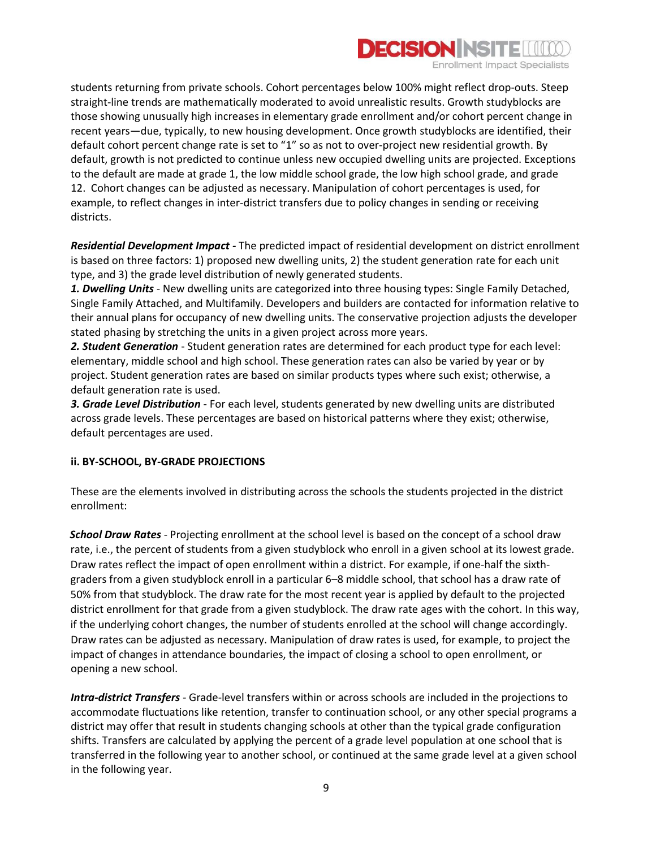

students returning from private schools. Cohort percentages below 100% might reflect drop-outs. Steep straight‐line trends are mathematically moderated to avoid unrealistic results. Growth studyblocks are those showing unusually high increases in elementary grade enrollment and/or cohort percent change in recent years—due, typically, to new housing development. Once growth studyblocks are identified, their default cohort percent change rate is set to "1" so as not to over‐project new residential growth. By default, growth is not predicted to continue unless new occupied dwelling units are projected. Exceptions to the default are made at grade 1, the low middle school grade, the low high school grade, and grade 12. Cohort changes can be adjusted as necessary. Manipulation of cohort percentages is used, for example, to reflect changes in inter-district transfers due to policy changes in sending or receiving districts.

*Residential Development Impact -* The predicted impact of residential development on district enrollment is based on three factors: 1) proposed new dwelling units, 2) the student generation rate for each unit type, and 3) the grade level distribution of newly generated students.

*1. Dwelling Units* - New dwelling units are categorized into three housing types: Single Family Detached, Single Family Attached, and Multifamily. Developers and builders are contacted for information relative to their annual plans for occupancy of new dwelling units. The conservative projection adjusts the developer stated phasing by stretching the units in a given project across more years.

*2. Student Generation* - Student generation rates are determined for each product type for each level: elementary, middle school and high school. These generation rates can also be varied by year or by project. Student generation rates are based on similar products types where such exist; otherwise, a default generation rate is used.

*3. Grade Level Distribution* - For each level, students generated by new dwelling units are distributed across grade levels. These percentages are based on historical patterns where they exist; otherwise, default percentages are used.

#### **ii. BY-SCHOOL, BY-GRADE PROJECTIONS**

These are the elements involved in distributing across the schools the students projected in the district enrollment:

*School Draw Rates* - Projecting enrollment at the school level is based on the concept of a school draw rate, i.e., the percent of students from a given studyblock who enroll in a given school at its lowest grade. Draw rates reflect the impact of open enrollment within a district. For example, if one-half the sixthgraders from a given studyblock enroll in a particular 6–8 middle school, that school has a draw rate of 50% from that studyblock. The draw rate for the most recent year is applied by default to the projected district enrollment for that grade from a given studyblock. The draw rate ages with the cohort. In this way, if the underlying cohort changes, the number of students enrolled at the school will change accordingly. Draw rates can be adjusted as necessary. Manipulation of draw rates is used, for example, to project the impact of changes in attendance boundaries, the impact of closing a school to open enrollment, or opening a new school.

*Intra‐district Transfers -* Grade‐level transfers within or across schools are included in the projections to accommodate fluctuations like retention, transfer to continuation school, or any other special programs a district may offer that result in students changing schools at other than the typical grade configuration shifts. Transfers are calculated by applying the percent of a grade level population at one school that is transferred in the following year to another school, or continued at the same grade level at a given school in the following year.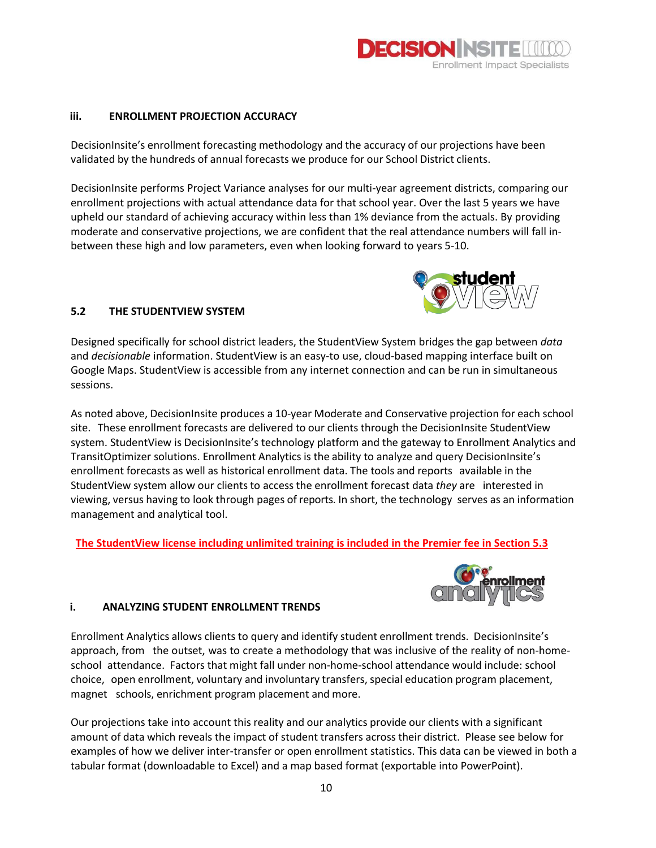

#### **iii. ENROLLMENT PROJECTION ACCURACY**

DecisionInsite's enrollment forecasting methodology and the accuracy of our projections have been validated by the hundreds of annual forecasts we produce for our School District clients.

DecisionInsite performs Project Variance analyses for our multi-year agreement districts, comparing our enrollment projections with actual attendance data for that school year. Over the last 5 years we have upheld our standard of achieving accuracy within less than 1% deviance from the actuals. By providing moderate and conservative projections, we are confident that the real attendance numbers will fall inbetween these high and low parameters, even when looking forward to years 5-10.



#### **5.2 THE STUDENTVIEW SYSTEM**

Designed specifically for school district leaders, the StudentView System bridges the gap between *data* and *decisionable* information. StudentView is an easy-to use, cloud-based mapping interface built on Google Maps. StudentView is accessible from any internet connection and can be run in simultaneous sessions.

As noted above, DecisionInsite produces a 10-year Moderate and Conservative projection for each school site. These enrollment forecasts are delivered to our clients through the DecisionInsite StudentView system. StudentView is DecisionInsite's technology platform and the gateway to Enrollment Analytics and TransitOptimizer solutions. Enrollment Analytics is the ability to analyze and query DecisionInsite's enrollment forecasts as well as historical enrollment data. The tools and reports available in the StudentView system allow our clients to access the enrollment forecast data *they* are interested in viewing, versus having to look through pages of reports. In short, the technology serves as an information management and analytical tool.

**The StudentView license including unlimited training is included in the Premier fee in Section 5.3**



#### **i. ANALYZING STUDENT ENROLLMENT TRENDS**

Enrollment Analytics allows clients to query and identify student enrollment trends. DecisionInsite's approach, from the outset, was to create a methodology that was inclusive of the reality of non-homeschool attendance. Factors that might fall under non-home-school attendance would include: school choice, open enrollment, voluntary and involuntary transfers, special education program placement, magnet schools, enrichment program placement and more.

Our projections take into account this reality and our analytics provide our clients with a significant amount of data which reveals the impact of student transfers across their district. Please see below for examples of how we deliver inter-transfer or open enrollment statistics. This data can be viewed in both a tabular format (downloadable to Excel) and a map based format (exportable into PowerPoint).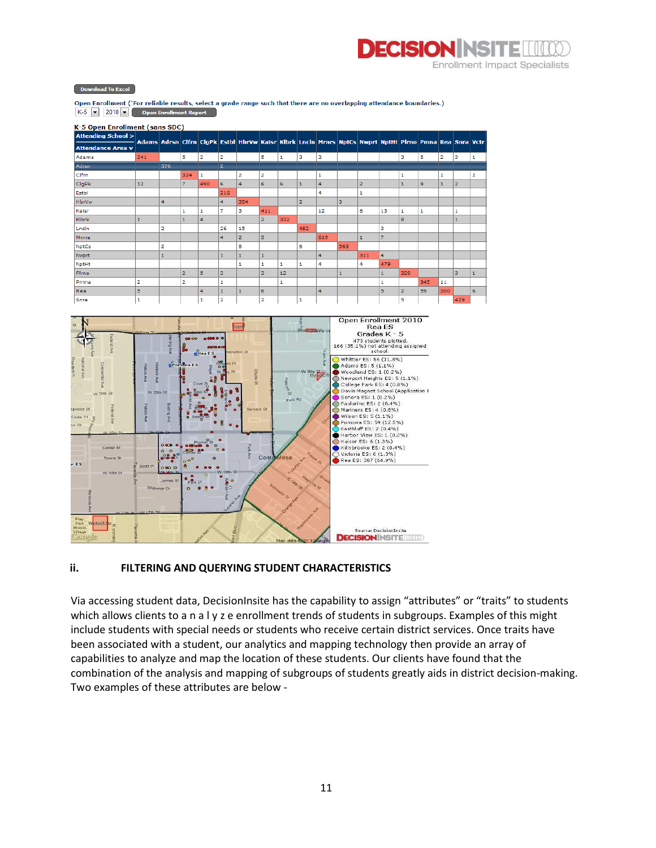#### **DECISION INSIT** ller. **Enrollment Impact Specialists**

Download To Excel

Open Enrollment ('For reliable results, select a grade range such that there are no overlapping attendance boundaries.)  $K-5$   $\bullet$  2010  $\bullet$  Open Enrollment Report

| K-5 Open Enrollment (sans SDC) |                                                                                                        |                         |                |                |                |                         |                |            |                |     |              |                |                |                |     |                |                |                         |
|--------------------------------|--------------------------------------------------------------------------------------------------------|-------------------------|----------------|----------------|----------------|-------------------------|----------------|------------|----------------|-----|--------------|----------------|----------------|----------------|-----|----------------|----------------|-------------------------|
| <b>Attending School &gt;</b>   |                                                                                                        |                         |                |                |                |                         |                |            |                |     |              |                |                |                |     |                |                |                         |
| <b>Attendance Area v</b>       | Adams Adrsn Clfrn ClgPk Estbl HbrVw Kaisr Klbrk Lncin Mrnrs NptCs Nwprt NptHt Pirno Pmna Rea Snra Vctr |                         |                |                |                |                         |                |            |                |     |              |                |                |                |     |                |                |                         |
| Adams                          | 341                                                                                                    |                         | 5              | $\overline{2}$ | $\overline{2}$ |                         | 5              | 1          | з              | з   |              |                |                | з              | 5   | $\overline{2}$ | з              | 1                       |
| Adrsn                          |                                                                                                        | 376                     |                |                | $\overline{2}$ |                         |                |            |                |     |              |                |                |                |     |                |                |                         |
| Clfrn                          |                                                                                                        |                         | 324            | 1              |                | $\overline{\mathbf{2}}$ | $\overline{2}$ |            |                | 1   |              |                |                | 1              |     | 1              |                | $\overline{\mathbf{2}}$ |
| ClgPk                          | 12                                                                                                     |                         | 7              | 490            | 6              | 4                       | $\epsilon$     | $\epsilon$ |                | 4   |              | $\overline{2}$ |                | $\mathbf{1}$   | 9   | $\mathbf{1}$   | $\overline{2}$ |                         |
| Estbl                          |                                                                                                        |                         |                |                | 216            |                         |                |            |                | 4   |              | 1              |                |                |     |                |                |                         |
| <b>HbrVw</b>                   |                                                                                                        | 4                       |                |                | $\overline{4}$ | 354                     |                |            | $\overline{2}$ |     | з            |                |                |                |     |                |                |                         |
| Kaisr                          |                                                                                                        |                         | 1              | 1              | $\overline{7}$ | з                       | 411            |            |                | 12  |              | 6              | 13             | 1              | 1   |                | 1              |                         |
| Klbrk                          |                                                                                                        |                         |                | 4              |                |                         | $\overline{2}$ | 332        |                |     |              |                |                | 8              |     |                |                |                         |
| Lncln                          |                                                                                                        | $\overline{\mathbf{2}}$ |                |                | 26             | 15                      |                |            | 482            |     |              |                | з              |                |     |                |                |                         |
| <b>Mrnrs</b>                   |                                                                                                        |                         |                |                | 4              | $\overline{2}$          | 5              |            |                | 619 |              | $\mathbf{1}$   | $\overline{7}$ |                |     |                |                |                         |
| <b>NptCs</b>                   |                                                                                                        | 2                       |                |                |                | 8                       |                |            | 6              |     | 563          |                |                |                |     |                |                |                         |
| <b>Nwprt</b>                   |                                                                                                        | $\mathbf{1}$            |                |                | 1              | $\mathbf{1}$            | $\mathbf{1}$   |            |                | 4   |              | 311            | 4              |                |     |                |                |                         |
| NptHt                          |                                                                                                        |                         |                |                |                | 1                       | 1              |            |                | 4   |              | 4              | 479            |                |     |                |                |                         |
| Pirno                          |                                                                                                        |                         | $\overline{2}$ | 5              | з              |                         | з              | 12         |                |     | $\mathbf{1}$ |                | $\mathbf{1}$   | 329            |     |                | з              | $\mathbf{1}$            |
| Pmna                           | 2                                                                                                      |                         | 2              |                | 1              |                         |                |            |                |     |              |                | 1              |                | 345 | 11             |                |                         |
| Real                           | 5                                                                                                      |                         |                | 4              | $\mathbf{1}$   | $\mathbf{1}$            | 6              |            |                | 4   |              |                | 5              | $\overline{2}$ | 59  | 300            |                | 6                       |
| Snra                           | 1                                                                                                      |                         |                | 1              | $\overline{2}$ |                         | $\overline{2}$ |            | 1              |     |              |                |                | 5              |     |                | 429            |                         |



### **ii. FILTERING AND QUERYING STUDENT CHARACTERISTICS**

Via accessing student data, DecisionInsite has the capability to assign "attributes" or "traits" to students which allows clients to a n a l y z e enrollment trends of students in subgroups. Examples of this might include students with special needs or students who receive certain district services. Once traits have been associated with a student, our analytics and mapping technology then provide an array of capabilities to analyze and map the location of these students. Our clients have found that the combination of the analysis and mapping of subgroups of students greatly aids in district decision-making. Two examples of these attributes are below -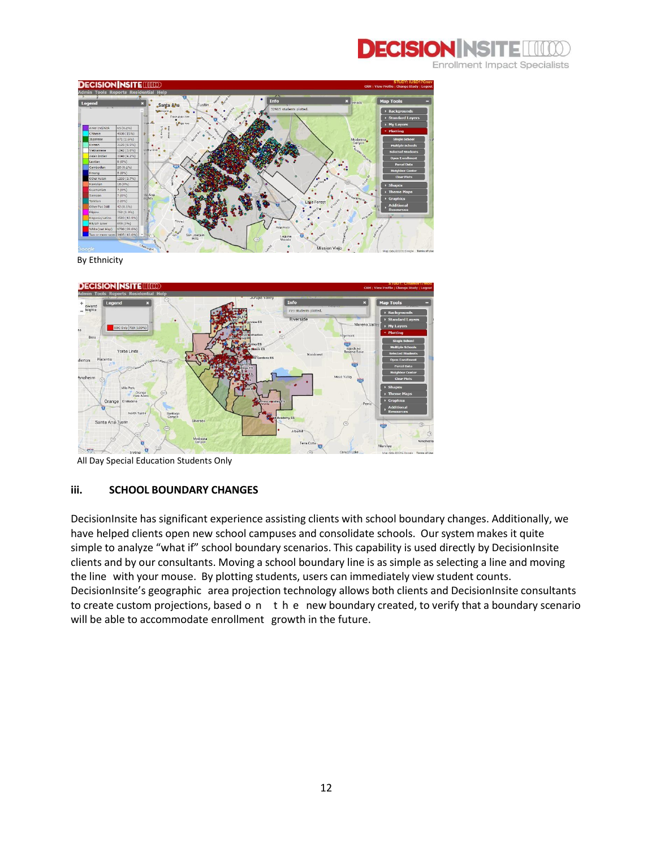



By Ethnicity



All Day Special Education Students Only

#### **iii. SCHOOL BOUNDARY CHANGES**

DecisionInsite has significant experience assisting clients with school boundary changes. Additionally, we have helped clients open new school campuses and consolidate schools. Our system makes it quite simple to analyze "what if" school boundary scenarios. This capability is used directly by DecisionInsite clients and by our consultants. Moving a school boundary line is as simple as selecting a line and moving the line with your mouse. By plotting students, users can immediately view student counts. DecisionInsite's geographic area projection technology allows both clients and DecisionInsite consultants to create custom projections, based o n t h e new boundary created, to verify that a boundary scenario will be able to accommodate enrollment growth in the future.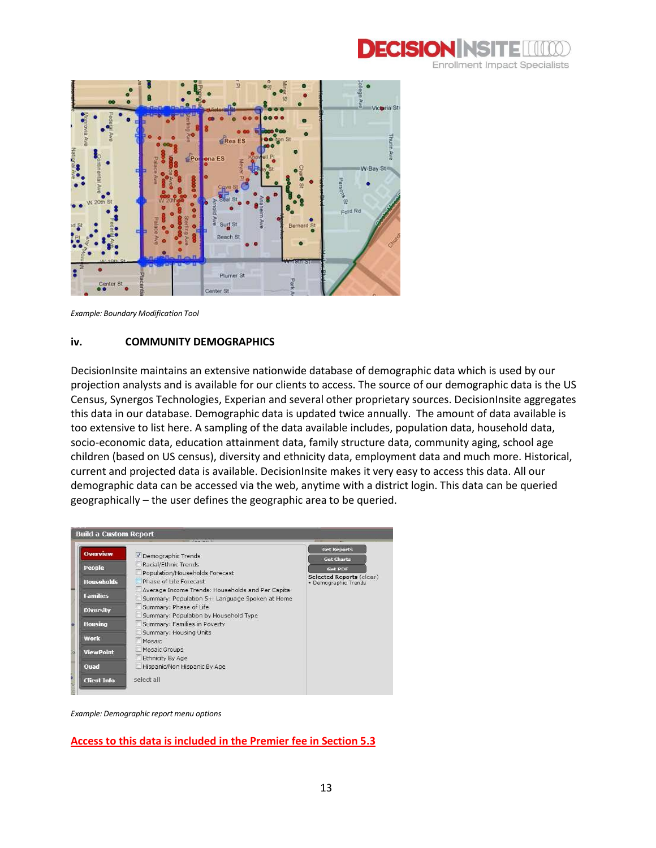



*Example: Boundary Modification Tool*

#### **iv.****COMMUNITY DEMOGRAPHICS**

DecisionInsite maintains an extensive nationwide database of demographic data which is used by our projection analysts and is available for our clients to access. The source of our demographic data is the US Census, Synergos Technologies, Experian and several other proprietary sources. DecisionInsite aggregates this data in our database. Demographic data is updated twice annually. The amount of data available is too extensive to list here. A sampling of the data available includes, population data, household data, socio-economic data, education attainment data, family structure data, community aging, school age children (based on US census), diversity and ethnicity data, employment data and much more. Historical, current and projected data is available. DecisionInsite makes it very easy to access this data. All our demographic data can be accessed via the web, anytime with a district login. This data can be queried geographically – the user defines the geographic area to be queried.

| <b>Overview</b>   | Demographic Trends                                                                                  | <b>Get Reports</b>                                      |
|-------------------|-----------------------------------------------------------------------------------------------------|---------------------------------------------------------|
|                   | Racial/Ethnic Trends                                                                                | <b>Get Charts</b>                                       |
| People            | Population/Households Forecast                                                                      | <b>Get PDF</b>                                          |
| <b>Households</b> | Phase of Life Forecast                                                                              | <b>Selected Reports (clear)</b><br>· Demographic Trends |
| <b>Families</b>   | Average Income Trends: Households and Per Capita<br>Summary: Population 5+: Language Spoken at Home |                                                         |
| <b>Diversity</b>  | Summary: Phase of Life<br>Summary: Population by Household Type                                     |                                                         |
| <b>Housing</b>    | Summary: Families in Poverty                                                                        |                                                         |
| <b>Work</b>       | Summary: Housing Units<br>Mosaic                                                                    |                                                         |
| <b>ViewPoint</b>  | Mosaic Groups                                                                                       |                                                         |
| Quad              | Ethnicity By Age<br>Hispanic/Non Hispanic By Age                                                    |                                                         |

*Example: Demographic report menu options*

**Access to this data is included in the Premier fee in Section 5.3**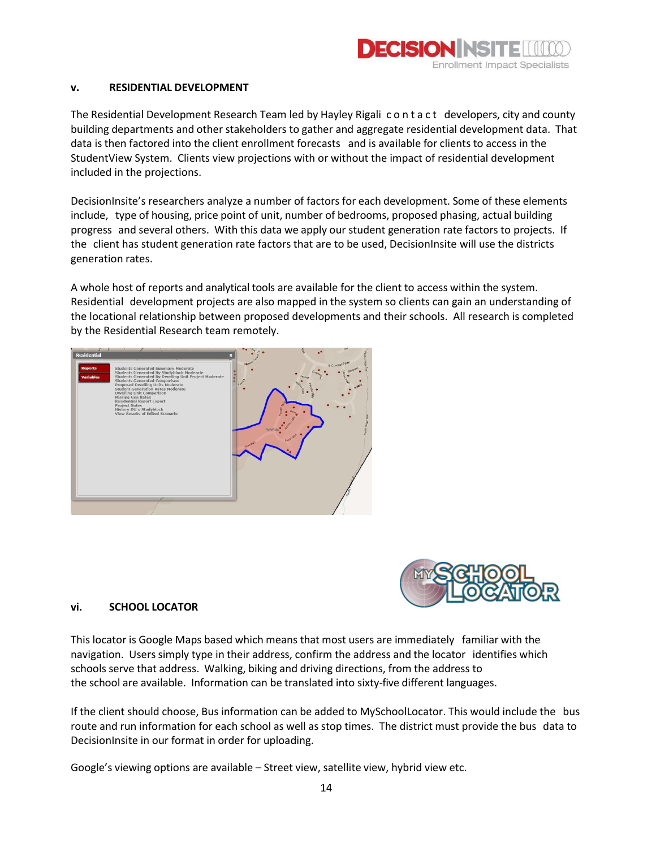

#### **v. RESIDENTIAL DEVELOPMENT**

The Residential Development Research Team led by Hayley Rigali c o n t a c t developers, city and county building departments and other stakeholders to gather and aggregate residential development data. That data is then factored into the client enrollment forecasts and is available for clients to access in the StudentView System. Clients view projections with or without the impact of residential development included in the projections.

DecisionInsite's researchers analyze a number of factors for each development. Some of these elements include, type of housing, price point of unit, number of bedrooms, proposed phasing, actual building progress and several others. With this data we apply our student generation rate factors to projects. If the client has student generation rate factors that are to be used, DecisionInsite will use the districts generation rates.

A whole host of reports and analytical tools are available for the client to access within the system. Residential development projects are also mapped in the system so clients can gain an understanding of the locational relationship between proposed developments and their schools. All research is completed by the Residential Research team remotely.





#### **vi. SCHOOL LOCATOR**

This locator is Google Maps based which means that most users are immediately familiar with the navigation. Users simply type in their address, confirm the address and the locator identifies which schools serve that address. Walking, biking and driving directions, from the address to the school are available. Information can be translated into sixty-five different languages.

If the client should choose, Bus information can be added to MySchoolLocator. This would include the bus route and run information for each school as well as stop times. The district must provide the bus data to DecisionInsite in our format in order for uploading.

Google's viewing options are available – Street view, satellite view, hybrid view etc.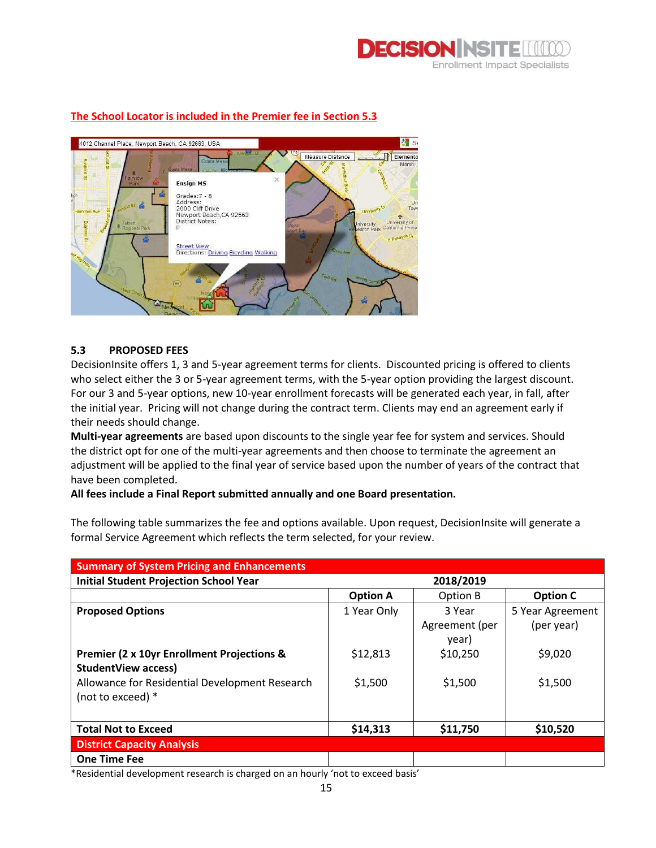



#### **The School Locator is included in the Premier fee in Section 5.3**

#### **5.3 PROPOSED FEES**

DecisionInsite offers 1, 3 and 5-year agreement terms for clients. Discounted pricing is offered to clients who select either the 3 or 5-year agreement terms, with the 5-year option providing the largest discount. For our 3 and 5-year options, new 10-year enrollment forecasts will be generated each year, in fall, after the initial year. Pricing will not change during the contract term. Clients may end an agreement early if their needs should change.

**Multi-year agreements** are based upon discounts to the single year fee for system and services. Should the district opt for one of the multi-year agreements and then choose to terminate the agreement an adjustment will be applied to the final year of service based upon the number of years of the contract that have been completed.

#### **All fees include a Final Report submitted annually and one Board presentation.**

The following table summarizes the fee and options available. Upon request, DecisionInsite will generate a formal Service Agreement which reflects the term selected, for your review.

| <b>Summary of System Pricing and Enhancements</b>     |                 |                |                  |  |  |  |  |  |
|-------------------------------------------------------|-----------------|----------------|------------------|--|--|--|--|--|
| <b>Initial Student Projection School Year</b>         | 2018/2019       |                |                  |  |  |  |  |  |
|                                                       | <b>Option A</b> | Option B       | <b>Option C</b>  |  |  |  |  |  |
| <b>Proposed Options</b>                               | 1 Year Only     | 3 Year         | 5 Year Agreement |  |  |  |  |  |
|                                                       |                 | Agreement (per | (per year)       |  |  |  |  |  |
|                                                       |                 | year)          |                  |  |  |  |  |  |
| <b>Premier (2 x 10yr Enrollment Projections &amp;</b> | \$12,813        | \$10,250       | \$9,020          |  |  |  |  |  |
| <b>StudentView access)</b>                            |                 |                |                  |  |  |  |  |  |
| Allowance for Residential Development Research        | \$1,500         | \$1,500        | \$1,500          |  |  |  |  |  |
| (not to exceed) *                                     |                 |                |                  |  |  |  |  |  |
|                                                       |                 |                |                  |  |  |  |  |  |
| <b>Total Not to Exceed</b>                            | \$14,313        | \$11,750       | \$10,520         |  |  |  |  |  |
| <b>District Capacity Analysis</b>                     |                 |                |                  |  |  |  |  |  |
| <b>One Time Fee</b>                                   |                 |                |                  |  |  |  |  |  |

\*Residential development research is charged on an hourly 'not to exceed basis'